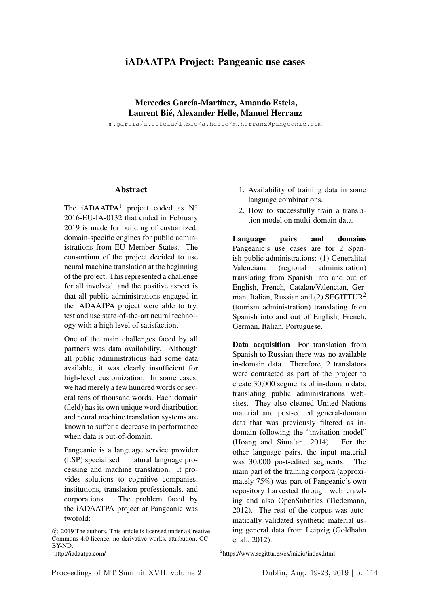## iADAATPA Project: Pangeanic use cases

## Mercedes García-Martínez, Amando Estela, Laurent Bié, Alexander Helle, Manuel Herranz

m.garcia/a.estela/l.bie/a.helle/m.herranz@pangeanic.com

## Abstract

The iADAATPA<sup>1</sup> project coded as  $N^{\circ}$ 2016-EU-IA-0132 that ended in February 2019 is made for building of customized, domain-specific engines for public administrations from EU Member States. The consortium of the project decided to use neural machine translation at the beginning of the project. This represented a challenge for all involved, and the positive aspect is that all public administrations engaged in the iADAATPA project were able to try, test and use state-of-the-art neural technology with a high level of satisfaction.

One of the main challenges faced by all partners was data availability. Although all public administrations had some data available, it was clearly insufficient for high-level customization. In some cases, we had merely a few hundred words or several tens of thousand words. Each domain (field) has its own unique word distribution and neural machine translation systems are known to suffer a decrease in performance when data is out-of-domain.

Pangeanic is a language service provider (LSP) specialised in natural language processing and machine translation. It provides solutions to cognitive companies, institutions, translation professionals, and corporations. The problem faced by the iADAATPA project at Pangeanic was twofold:

- 1. Availability of training data in some language combinations.
- 2. How to successfully train a translation model on multi-domain data.

Language pairs and domains Pangeanic's use cases are for 2 Spanish public administrations: (1) Generalitat Valenciana (regional administration) translating from Spanish into and out of English, French, Catalan/Valencian, German, Italian, Russian and  $(2)$  SEGITTUR<sup>2</sup> (tourism administration) translating from Spanish into and out of English, French, German, Italian, Portuguese.

Data acquisition For translation from Spanish to Russian there was no available in-domain data. Therefore, 2 translators were contracted as part of the project to create 30,000 segments of in-domain data, translating public administrations websites. They also cleaned United Nations material and post-edited general-domain data that was previously filtered as indomain following the "invitation model" (Hoang and Sima'an, 2014). For the other language pairs, the input material was 30,000 post-edited segments. The main part of the training corpora (approximately 75%) was part of Pangeanic's own repository harvested through web crawling and also OpenSubtitles (Tiedemann, 2012). The rest of the corpus was automatically validated synthetic material using general data from Leipzig (Goldhahn et al., 2012).

 $\overline{c}$  2019 The authors. This article is licensed under a Creative Commons 4.0 licence, no derivative works, attribution, CC-BY-ND.

<sup>1</sup> http://iadaatpa.com/

<sup>2</sup> https://www.segittur.es/es/inicio/index.html